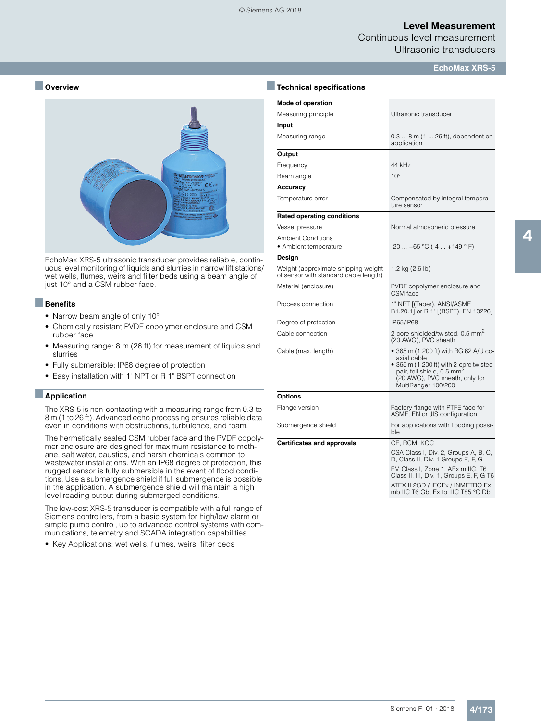### **Level Measurement**

Continuous level measurement Ultrasonic transducers

**EchoMax XRS-5**

### ■ **Overview**



EchoMax XRS-5 ultrasonic transducer provides reliable, continuous level monitoring of liquids and slurries in narrow lift stations/ wet wells, flumes, weirs and filter beds using a beam angle of just 10° and a CSM rubber face.

#### ■**Benefits**

- Narrow beam angle of only 10°
- Chemically resistant PVDF copolymer enclosure and CSM rubber face
- Measuring range: 8 m (26 ft) for measurement of liquids and slurries
- Fully submersible: IP68 degree of protection
- Easy installation with 1" NPT or R 1" BSPT connection

#### ■**Application**

The XRS-5 is non-contacting with a measuring range from 0.3 to 8 m (1 to 26 ft). Advanced echo processing ensures reliable data even in conditions with obstructions, turbulence, and foam.

The hermetically sealed CSM rubber face and the PVDF copolymer enclosure are designed for maximum resistance to methane, salt water, caustics, and harsh chemicals common to wastewater installations. With an IP68 degree of protection, this rugged sensor is fully submersible in the event of flood conditions. Use a submergence shield if full submergence is possible in the application. A submergence shield will maintain a high level reading output during submerged conditions.

The low-cost XRS-5 transducer is compatible with a full range of Siemens controllers, from a basic system for high/low alarm or simple pump control, up to advanced control systems with communications, telemetry and SCADA integration capabilities.

• Key Applications: wet wells, flumes, weirs, filter beds

| <b>Technical specifications</b>                                              |                                                                                                                                                                                                   |  |  |  |
|------------------------------------------------------------------------------|---------------------------------------------------------------------------------------------------------------------------------------------------------------------------------------------------|--|--|--|
| Mode of operation                                                            |                                                                                                                                                                                                   |  |  |  |
| Measuring principle                                                          | Ultrasonic transducer                                                                                                                                                                             |  |  |  |
| Input                                                                        |                                                                                                                                                                                                   |  |  |  |
| Measuring range                                                              | $0.38$ m $(126$ ft), dependent on<br>application                                                                                                                                                  |  |  |  |
| Output                                                                       |                                                                                                                                                                                                   |  |  |  |
| Frequency                                                                    | 44 kHz                                                                                                                                                                                            |  |  |  |
| Beam angle                                                                   | $10^{\circ}$                                                                                                                                                                                      |  |  |  |
| Accuracy                                                                     |                                                                                                                                                                                                   |  |  |  |
| Temperature error                                                            | Compensated by integral tempera-<br>ture sensor                                                                                                                                                   |  |  |  |
| <b>Rated operating conditions</b>                                            |                                                                                                                                                                                                   |  |  |  |
| Vessel pressure                                                              | Normal atmospheric pressure                                                                                                                                                                       |  |  |  |
| <b>Ambient Conditions</b><br>• Ambient temperature                           | $-20$ $+65$ °C ( $-4$ $+149$ ° F)                                                                                                                                                                 |  |  |  |
| Design                                                                       |                                                                                                                                                                                                   |  |  |  |
| Weight (approximate shipping weight<br>of sensor with standard cable length) | 1.2 kg (2.6 lb)                                                                                                                                                                                   |  |  |  |
| Material (enclosure)                                                         | PVDF copolymer enclosure and<br>CSM face                                                                                                                                                          |  |  |  |
| Process connection                                                           | 1" NPT [(Taper), ANSI/ASME<br>B1.20.1] or R 1" [(BSPT), EN 10226]                                                                                                                                 |  |  |  |
| Degree of protection                                                         | IP65/IP68                                                                                                                                                                                         |  |  |  |
| Cable connection                                                             | 2-core shielded/twisted, 0.5 mm <sup>2</sup><br>(20 AWG), PVC sheath                                                                                                                              |  |  |  |
| Cable (max. length)                                                          | • 365 m (1 200 ft) with RG 62 A/U co-<br>axial cable<br>• 365 m (1 200 ft) with 2-core twisted<br>pair, foil shield, 0.5 mm <sup>2</sup><br>(20 AWG), PVC sheath, only for<br>MultiRanger 100/200 |  |  |  |
| Options                                                                      |                                                                                                                                                                                                   |  |  |  |
| Flange version                                                               | Factory flange with PTFE face for<br>ASME, EN or JIS configuration                                                                                                                                |  |  |  |
| Submergence shield                                                           | For applications with flooding possi-<br>ble                                                                                                                                                      |  |  |  |
| <b>Certificates and approvals</b>                                            | CE, RCM, KCC                                                                                                                                                                                      |  |  |  |
|                                                                              | CSA Class I, Div. 2, Groups A, B, C,<br>D, Class II, Div. 1 Groups E, F, G                                                                                                                        |  |  |  |
|                                                                              | FM Class I, Zone 1, AEx m IIC, T6<br>Class II, III, Div. 1, Groups E, F, G T6                                                                                                                     |  |  |  |
|                                                                              | ATEX II 2GD / IECEx / INMETRO Ex<br>mb IIC T6 Gb, Ex tb IIIC T85 °C Db                                                                                                                            |  |  |  |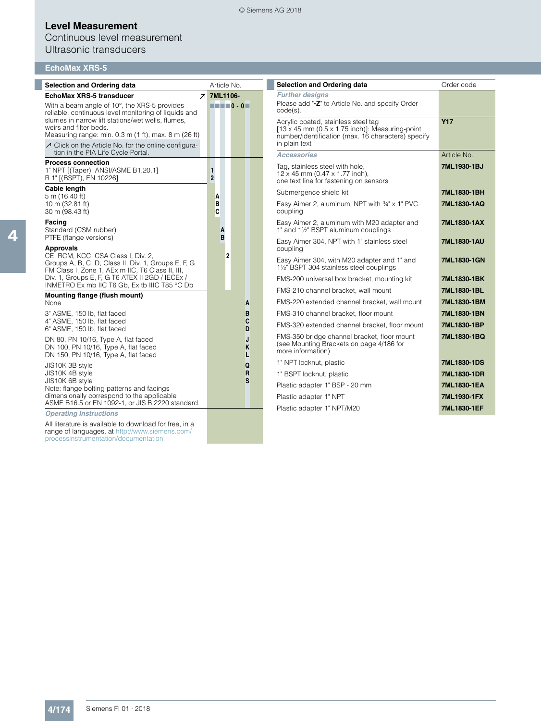# **Level Measurement**

## Continuous level measurement Ultrasonic transducers

# **EchoMax XRS-5**

| <b>Further designs</b><br><b>EchoMax XRS-5 transducer</b><br><b>7 7ML1106-</b><br>Please add "-Z" to Article No. and specify Order<br>$\blacksquare$<br>With a beam angle of 10°, the XRS-5 provides<br>$code(s)$ .<br>reliable, continuous level monitoring of liquids and<br>slurries in narrow lift stations/wet wells, flumes,<br><b>Y17</b><br>Acrylic coated, stainless steel tag<br>weirs and filter beds.<br>$[13 \times 45$ mm (0.5 x 1.75 inch)]: Measuring-point<br>Measuring range: min. 0.3 m (1 ft), max. 8 m (26 ft)<br>number/identification (max. 16 characters) specify<br>in plain text<br>○ Click on the Article No. for the online configura-<br>tion in the PIA Life Cycle Portal.<br><b>Accessories</b><br>Article No.<br><b>Process connection</b><br>Tag, stainless steel with hole,<br>7ML1930-1BJ<br>1" NPT [(Taper), ANSI/ASME B1.20.1]<br>$\mathbf{1}$<br>12 x 45 mm (0.47 x 1.77 inch),<br>$\overline{2}$<br>R 1" [(BSPT), EN 10226]<br>one text line for fastening on sensors<br>Cable length<br>Submergence shield kit<br>7ML1830-1BH<br>5 m (16.40 ft)<br>A<br>10 m (32.81 ft)<br>B<br>Easy Aimer 2, aluminum, NPT with 34" x 1" PVC<br>7ML1830-1AQ<br>C<br>coupling<br>30 m (98.43 ft)<br>Facing<br>Easy Aimer 2, aluminum with M20 adapter and<br>7ML1830-1AX<br>Standard (CSM rubber)<br>1" and 11/2" BSPT aluminum couplings<br>A<br>B<br>PTFE (flange versions)<br>Easy Aimer 304, NPT with 1" stainless steel<br>7ML1830-1AU<br><b>Approvals</b><br>coupling<br>CE, RCM, KCC, CSA Class I, Div. 2,<br>$\overline{2}$<br>Easy Aimer 304, with M20 adapter and 1" and<br>7ML1830-1GN<br>Groups A, B, C, D, Class II, Div. 1, Groups E, F, G<br>1½" BSPT 304 stainless steel couplings<br>FM Class I, Zone 1, AEx m IIC, T6 Class II, III,<br>Div. 1, Groups E, F, G T6 ATEX II 2GD / IECEx /<br>FMS-200 universal box bracket, mounting kit<br>7ML1830-1BK<br>INMETRO Ex mb IIC T6 Gb, Ex tb IIIC T85 °C Db<br>FMS-210 channel bracket, wall mount<br>7ML1830-1BL<br>Mounting flange (flush mount)<br>FMS-220 extended channel bracket, wall mount<br>7ML1830-1BM<br>None<br>A<br>FMS-310 channel bracket, floor mount<br>3" ASME, 150 lb, flat faced<br>B<br>7ML1830-1BN<br>4" ASME, 150 lb, flat faced<br>C<br>FMS-320 extended channel bracket, floor mount<br>7ML1830-1BP<br>6" ASME, 150 lb, flat faced<br>D<br>FMS-350 bridge channel bracket, floor mount<br>7ML1830-1BQ<br>DN 80, PN 10/16, Type A, flat faced<br>J<br>(see Mounting Brackets on page 4/186 for<br>Κ<br>DN 100, PN 10/16, Type A, flat faced<br>more information)<br>DN 150, PN 10/16, Type A, flat faced<br>L<br>1" NPT locknut, plastic<br>7ML1830-1DS<br>Q<br>JIS10K 3B style<br>R<br>JIS10K 4B style<br>1" BSPT locknut, plastic<br>7ML1830-1DR<br>S<br>JIS10K 6B stvle<br>Plastic adapter 1" BSP - 20 mm<br>7ML1830-1EA<br>Note: flange bolting patterns and facings<br>dimensionally correspond to the applicable<br>Plastic adapter 1" NPT<br>7ML1930-1FX | <b>Selection and Ordering data</b>               | Article No. | Selection and Ordering data | Order code |
|-------------------------------------------------------------------------------------------------------------------------------------------------------------------------------------------------------------------------------------------------------------------------------------------------------------------------------------------------------------------------------------------------------------------------------------------------------------------------------------------------------------------------------------------------------------------------------------------------------------------------------------------------------------------------------------------------------------------------------------------------------------------------------------------------------------------------------------------------------------------------------------------------------------------------------------------------------------------------------------------------------------------------------------------------------------------------------------------------------------------------------------------------------------------------------------------------------------------------------------------------------------------------------------------------------------------------------------------------------------------------------------------------------------------------------------------------------------------------------------------------------------------------------------------------------------------------------------------------------------------------------------------------------------------------------------------------------------------------------------------------------------------------------------------------------------------------------------------------------------------------------------------------------------------------------------------------------------------------------------------------------------------------------------------------------------------------------------------------------------------------------------------------------------------------------------------------------------------------------------------------------------------------------------------------------------------------------------------------------------------------------------------------------------------------------------------------------------------------------------------------------------------------------------------------------------------------------------------------------------------------------------------------------------------------------------------------------------------------------------------------------------------------------------------------------------------------------------------------------------------------------------------------------------------------------------------------------------------------------|--------------------------------------------------|-------------|-----------------------------|------------|
|                                                                                                                                                                                                                                                                                                                                                                                                                                                                                                                                                                                                                                                                                                                                                                                                                                                                                                                                                                                                                                                                                                                                                                                                                                                                                                                                                                                                                                                                                                                                                                                                                                                                                                                                                                                                                                                                                                                                                                                                                                                                                                                                                                                                                                                                                                                                                                                                                                                                                                                                                                                                                                                                                                                                                                                                                                                                                                                                                                               |                                                  |             |                             |            |
|                                                                                                                                                                                                                                                                                                                                                                                                                                                                                                                                                                                                                                                                                                                                                                                                                                                                                                                                                                                                                                                                                                                                                                                                                                                                                                                                                                                                                                                                                                                                                                                                                                                                                                                                                                                                                                                                                                                                                                                                                                                                                                                                                                                                                                                                                                                                                                                                                                                                                                                                                                                                                                                                                                                                                                                                                                                                                                                                                                               |                                                  |             |                             |            |
|                                                                                                                                                                                                                                                                                                                                                                                                                                                                                                                                                                                                                                                                                                                                                                                                                                                                                                                                                                                                                                                                                                                                                                                                                                                                                                                                                                                                                                                                                                                                                                                                                                                                                                                                                                                                                                                                                                                                                                                                                                                                                                                                                                                                                                                                                                                                                                                                                                                                                                                                                                                                                                                                                                                                                                                                                                                                                                                                                                               |                                                  |             |                             |            |
|                                                                                                                                                                                                                                                                                                                                                                                                                                                                                                                                                                                                                                                                                                                                                                                                                                                                                                                                                                                                                                                                                                                                                                                                                                                                                                                                                                                                                                                                                                                                                                                                                                                                                                                                                                                                                                                                                                                                                                                                                                                                                                                                                                                                                                                                                                                                                                                                                                                                                                                                                                                                                                                                                                                                                                                                                                                                                                                                                                               |                                                  |             |                             |            |
|                                                                                                                                                                                                                                                                                                                                                                                                                                                                                                                                                                                                                                                                                                                                                                                                                                                                                                                                                                                                                                                                                                                                                                                                                                                                                                                                                                                                                                                                                                                                                                                                                                                                                                                                                                                                                                                                                                                                                                                                                                                                                                                                                                                                                                                                                                                                                                                                                                                                                                                                                                                                                                                                                                                                                                                                                                                                                                                                                                               |                                                  |             |                             |            |
|                                                                                                                                                                                                                                                                                                                                                                                                                                                                                                                                                                                                                                                                                                                                                                                                                                                                                                                                                                                                                                                                                                                                                                                                                                                                                                                                                                                                                                                                                                                                                                                                                                                                                                                                                                                                                                                                                                                                                                                                                                                                                                                                                                                                                                                                                                                                                                                                                                                                                                                                                                                                                                                                                                                                                                                                                                                                                                                                                                               |                                                  |             |                             |            |
|                                                                                                                                                                                                                                                                                                                                                                                                                                                                                                                                                                                                                                                                                                                                                                                                                                                                                                                                                                                                                                                                                                                                                                                                                                                                                                                                                                                                                                                                                                                                                                                                                                                                                                                                                                                                                                                                                                                                                                                                                                                                                                                                                                                                                                                                                                                                                                                                                                                                                                                                                                                                                                                                                                                                                                                                                                                                                                                                                                               |                                                  |             |                             |            |
|                                                                                                                                                                                                                                                                                                                                                                                                                                                                                                                                                                                                                                                                                                                                                                                                                                                                                                                                                                                                                                                                                                                                                                                                                                                                                                                                                                                                                                                                                                                                                                                                                                                                                                                                                                                                                                                                                                                                                                                                                                                                                                                                                                                                                                                                                                                                                                                                                                                                                                                                                                                                                                                                                                                                                                                                                                                                                                                                                                               |                                                  |             |                             |            |
|                                                                                                                                                                                                                                                                                                                                                                                                                                                                                                                                                                                                                                                                                                                                                                                                                                                                                                                                                                                                                                                                                                                                                                                                                                                                                                                                                                                                                                                                                                                                                                                                                                                                                                                                                                                                                                                                                                                                                                                                                                                                                                                                                                                                                                                                                                                                                                                                                                                                                                                                                                                                                                                                                                                                                                                                                                                                                                                                                                               |                                                  |             |                             |            |
|                                                                                                                                                                                                                                                                                                                                                                                                                                                                                                                                                                                                                                                                                                                                                                                                                                                                                                                                                                                                                                                                                                                                                                                                                                                                                                                                                                                                                                                                                                                                                                                                                                                                                                                                                                                                                                                                                                                                                                                                                                                                                                                                                                                                                                                                                                                                                                                                                                                                                                                                                                                                                                                                                                                                                                                                                                                                                                                                                                               |                                                  |             |                             |            |
|                                                                                                                                                                                                                                                                                                                                                                                                                                                                                                                                                                                                                                                                                                                                                                                                                                                                                                                                                                                                                                                                                                                                                                                                                                                                                                                                                                                                                                                                                                                                                                                                                                                                                                                                                                                                                                                                                                                                                                                                                                                                                                                                                                                                                                                                                                                                                                                                                                                                                                                                                                                                                                                                                                                                                                                                                                                                                                                                                                               |                                                  |             |                             |            |
|                                                                                                                                                                                                                                                                                                                                                                                                                                                                                                                                                                                                                                                                                                                                                                                                                                                                                                                                                                                                                                                                                                                                                                                                                                                                                                                                                                                                                                                                                                                                                                                                                                                                                                                                                                                                                                                                                                                                                                                                                                                                                                                                                                                                                                                                                                                                                                                                                                                                                                                                                                                                                                                                                                                                                                                                                                                                                                                                                                               |                                                  |             |                             |            |
|                                                                                                                                                                                                                                                                                                                                                                                                                                                                                                                                                                                                                                                                                                                                                                                                                                                                                                                                                                                                                                                                                                                                                                                                                                                                                                                                                                                                                                                                                                                                                                                                                                                                                                                                                                                                                                                                                                                                                                                                                                                                                                                                                                                                                                                                                                                                                                                                                                                                                                                                                                                                                                                                                                                                                                                                                                                                                                                                                                               |                                                  |             |                             |            |
|                                                                                                                                                                                                                                                                                                                                                                                                                                                                                                                                                                                                                                                                                                                                                                                                                                                                                                                                                                                                                                                                                                                                                                                                                                                                                                                                                                                                                                                                                                                                                                                                                                                                                                                                                                                                                                                                                                                                                                                                                                                                                                                                                                                                                                                                                                                                                                                                                                                                                                                                                                                                                                                                                                                                                                                                                                                                                                                                                                               |                                                  |             |                             |            |
|                                                                                                                                                                                                                                                                                                                                                                                                                                                                                                                                                                                                                                                                                                                                                                                                                                                                                                                                                                                                                                                                                                                                                                                                                                                                                                                                                                                                                                                                                                                                                                                                                                                                                                                                                                                                                                                                                                                                                                                                                                                                                                                                                                                                                                                                                                                                                                                                                                                                                                                                                                                                                                                                                                                                                                                                                                                                                                                                                                               |                                                  |             |                             |            |
|                                                                                                                                                                                                                                                                                                                                                                                                                                                                                                                                                                                                                                                                                                                                                                                                                                                                                                                                                                                                                                                                                                                                                                                                                                                                                                                                                                                                                                                                                                                                                                                                                                                                                                                                                                                                                                                                                                                                                                                                                                                                                                                                                                                                                                                                                                                                                                                                                                                                                                                                                                                                                                                                                                                                                                                                                                                                                                                                                                               |                                                  |             |                             |            |
|                                                                                                                                                                                                                                                                                                                                                                                                                                                                                                                                                                                                                                                                                                                                                                                                                                                                                                                                                                                                                                                                                                                                                                                                                                                                                                                                                                                                                                                                                                                                                                                                                                                                                                                                                                                                                                                                                                                                                                                                                                                                                                                                                                                                                                                                                                                                                                                                                                                                                                                                                                                                                                                                                                                                                                                                                                                                                                                                                                               |                                                  |             |                             |            |
|                                                                                                                                                                                                                                                                                                                                                                                                                                                                                                                                                                                                                                                                                                                                                                                                                                                                                                                                                                                                                                                                                                                                                                                                                                                                                                                                                                                                                                                                                                                                                                                                                                                                                                                                                                                                                                                                                                                                                                                                                                                                                                                                                                                                                                                                                                                                                                                                                                                                                                                                                                                                                                                                                                                                                                                                                                                                                                                                                                               |                                                  |             |                             |            |
|                                                                                                                                                                                                                                                                                                                                                                                                                                                                                                                                                                                                                                                                                                                                                                                                                                                                                                                                                                                                                                                                                                                                                                                                                                                                                                                                                                                                                                                                                                                                                                                                                                                                                                                                                                                                                                                                                                                                                                                                                                                                                                                                                                                                                                                                                                                                                                                                                                                                                                                                                                                                                                                                                                                                                                                                                                                                                                                                                                               |                                                  |             |                             |            |
| Plastic adapter 1" NPT/M20<br>7ML1830-1EF                                                                                                                                                                                                                                                                                                                                                                                                                                                                                                                                                                                                                                                                                                                                                                                                                                                                                                                                                                                                                                                                                                                                                                                                                                                                                                                                                                                                                                                                                                                                                                                                                                                                                                                                                                                                                                                                                                                                                                                                                                                                                                                                                                                                                                                                                                                                                                                                                                                                                                                                                                                                                                                                                                                                                                                                                                                                                                                                     | ASME B16.5 or EN 1092-1, or JIS B 2220 standard. |             |                             |            |
| <b>Operating Instructions</b><br>All literature is available to download for free, in a                                                                                                                                                                                                                                                                                                                                                                                                                                                                                                                                                                                                                                                                                                                                                                                                                                                                                                                                                                                                                                                                                                                                                                                                                                                                                                                                                                                                                                                                                                                                                                                                                                                                                                                                                                                                                                                                                                                                                                                                                                                                                                                                                                                                                                                                                                                                                                                                                                                                                                                                                                                                                                                                                                                                                                                                                                                                                       |                                                  |             |                             |            |

4

range of languages, at http://www.siemens.com/ processinstrumentation/documentation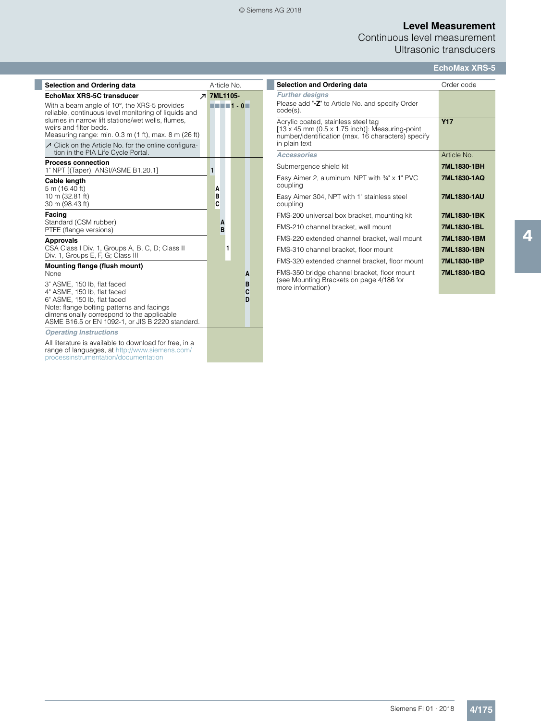### © Siemens AG 2018

# **Level Measurement**

Continuous level measurement Ultrasonic transducers

| <b>Selection and Ordering data</b>                                                                                                                                                                                                                      | Article No.       |   |                                                                                                                                        |  |
|---------------------------------------------------------------------------------------------------------------------------------------------------------------------------------------------------------------------------------------------------------|-------------------|---|----------------------------------------------------------------------------------------------------------------------------------------|--|
| EchoMax XRS-5C transducer                                                                                                                                                                                                                               | <b>7 7ML1105-</b> |   |                                                                                                                                        |  |
| With a beam angle of 10°, the XRS-5 provides<br>reliable, continuous level monitoring of liquids and<br>slurries in narrow lift stations/wet wells, flumes.<br>weirs and filter beds.<br>Measuring range: min. 0.3 m (1 ft), max. 8 m (26 ft)           |                   |   | $\blacksquare$ $\blacksquare$ $\blacksquare$ $\blacksquare$ $\blacksquare$ $\blacksquare$ $\blacksquare$ $\blacksquare$ $\blacksquare$ |  |
| ○ Click on the Article No. for the online configura-<br>tion in the PIA Life Cycle Portal.                                                                                                                                                              |                   |   |                                                                                                                                        |  |
| <b>Process connection</b><br>1" NPT [(Taper), ANSI/ASME B1.20.1]                                                                                                                                                                                        | 1                 |   |                                                                                                                                        |  |
| Cable length<br>5 m (16.40 ft)<br>10 m (32.81 ft)<br>30 m (98.43 ft)                                                                                                                                                                                    | A<br>в<br>C       |   |                                                                                                                                        |  |
| Facing<br>Standard (CSM rubber)<br>PTFE (flange versions)                                                                                                                                                                                               | A<br>B            |   |                                                                                                                                        |  |
| <b>Approvals</b><br>CSA Class I Div. 1, Groups A, B, C, D; Class II<br>Div. 1, Groups E, F, G; Class III                                                                                                                                                |                   | 1 |                                                                                                                                        |  |
| Mounting flange (flush mount)                                                                                                                                                                                                                           |                   |   |                                                                                                                                        |  |
| <b>None</b><br>3" ASME, 150 lb, flat faced<br>4" ASME, 150 lb, flat faced<br>6" ASME, 150 lb, flat faced<br>Note: flange bolting patterns and facings<br>dimensionally correspond to the applicable<br>ASME B16.5 or EN 1092-1, or JIS B 2220 standard. |                   |   | A<br>B<br>C<br>D                                                                                                                       |  |
| <b>Operating Instructions</b>                                                                                                                                                                                                                           |                   |   |                                                                                                                                        |  |
| All literature is available to download for free, in a<br>range of languages, at http://www.siemens.com/<br>processinstrumentation/documentation                                                                                                        |                   |   |                                                                                                                                        |  |

| <b>Selection and Ordering data</b>                                                                                                                                   | Order code  |
|----------------------------------------------------------------------------------------------------------------------------------------------------------------------|-------------|
| <b>Further designs</b><br>Please add "-Z" to Article No. and specify Order<br>$code(s)$ .                                                                            |             |
| Acrylic coated, stainless steel tag<br>$[13 \times 45$ mm (0.5 x 1.75 inch)]: Measuring-point<br>number/identification (max. 16 characters) specify<br>in plain text | <b>Y17</b>  |
| <b>Accessories</b>                                                                                                                                                   | Article No  |
| Submergence shield kit                                                                                                                                               | 7ML1830-1BH |
| Easy Aimer 2, aluminum, NPT with $\frac{3}{4}$ " x 1" PVC<br>coupling                                                                                                | 7ML1830-1AQ |
| Easy Aimer 304, NPT with 1" stainless steel<br>coupling                                                                                                              | 7ML1830-1AU |
| FMS-200 universal box bracket, mounting kit                                                                                                                          | 7ML1830-1BK |
| FMS-210 channel bracket, wall mount                                                                                                                                  | 7ML1830-1BL |
| FMS-220 extended channel bracket, wall mount                                                                                                                         | 7ML1830-1BM |
| FMS-310 channel bracket, floor mount                                                                                                                                 | 7ML1830-1BN |
| FMS-320 extended channel bracket, floor mount                                                                                                                        | 7ML1830-1BP |
| FMS-350 bridge channel bracket, floor mount<br>(see Mounting Brackets on page 4/186 for<br>more information)                                                         | 7ML1830-1BQ |